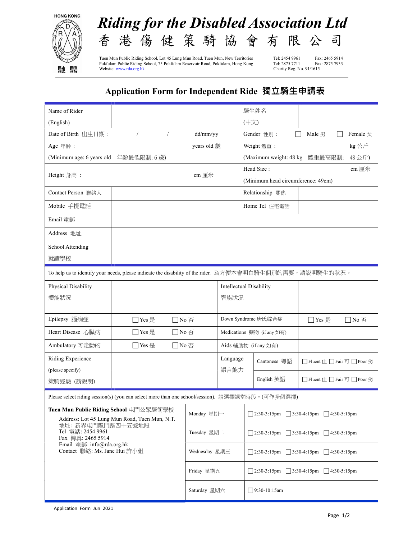



Tuen Mun Public Riding School, Lot 45 Lung Mun Road, Tuen Mun, New Territories Tel: 2454 9961 Fax: 2465 5914<br>Pokfulam Public Riding School, 75 Pokfulam Reservoir Road, Pokfulam, Hong Kong Tel: 2875 7711 Fax: 2875 7933 Pokfulam Public Riding School, 75 Pokfulam Reservoir Road, Pokfulam, Hong Kong Website:  $\frac{\text{www.rda.org.hk}}{2}$ 

Charity Reg. No. 91/1615

## Application Form for Independent Ride 獨立騎生申請表

| Name of Rider                                                                                            |                                            |                                  |                                                          |                                                           | 騎生姓名                                                                       |                              |  |
|----------------------------------------------------------------------------------------------------------|--------------------------------------------|----------------------------------|----------------------------------------------------------|-----------------------------------------------------------|----------------------------------------------------------------------------|------------------------------|--|
| (English)                                                                                                |                                            |                                  |                                                          | (中文)                                                      |                                                                            |                              |  |
| Date of Birth 出生日期:                                                                                      | $\sqrt{2}$<br>$\sqrt{2}$<br>dd/mm/yy       |                                  |                                                          |                                                           | Gender 性別:<br>$\perp$                                                      | Male 男<br>Female $\pm$       |  |
| Age 年齡:                                                                                                  | years old 歲                                |                                  |                                                          |                                                           | Weight 體重:<br>kg 公斤                                                        |                              |  |
| (Minimum age: 6 years old 年齡最低限制: 6歲)                                                                    |                                            |                                  |                                                          | 48公斤)<br>(Maximum weight: 48 kg 體重最高限制:                   |                                                                            |                              |  |
| Height 身高:                                                                                               | cm 厘米                                      |                                  |                                                          | Head Size:<br>cm 厘米<br>(Minimum head circumference: 49cm) |                                                                            |                              |  |
| Contact Person 聯絡人                                                                                       |                                            |                                  |                                                          |                                                           | Relationship 關係                                                            |                              |  |
|                                                                                                          |                                            |                                  |                                                          |                                                           |                                                                            |                              |  |
| Mobile 手提電話                                                                                              |                                            |                                  |                                                          |                                                           | Home Tel 住宅電話                                                              |                              |  |
| Email 電郵                                                                                                 |                                            |                                  |                                                          |                                                           |                                                                            |                              |  |
| Address 地址                                                                                               |                                            |                                  |                                                          |                                                           |                                                                            |                              |  |
| School Attending                                                                                         |                                            |                                  |                                                          |                                                           |                                                                            |                              |  |
| 就讀學校                                                                                                     |                                            |                                  |                                                          |                                                           |                                                                            |                              |  |
| To help us to identify your needs, please indicate the disability of the rider. 為方便本會明白騎生個別的需要,請說明騎生的狀況。 |                                            |                                  |                                                          |                                                           |                                                                            |                              |  |
| Physical Disability                                                                                      |                                            |                                  |                                                          | Intellectual Disability                                   |                                                                            |                              |  |
| 體能狀況                                                                                                     | 智能狀況                                       |                                  |                                                          |                                                           |                                                                            |                              |  |
|                                                                                                          |                                            |                                  |                                                          |                                                           |                                                                            |                              |  |
| Epilepsy 腦癇症                                                                                             | □Yes 是<br>$\Box$ No $\overline{\triangle}$ |                                  |                                                          | Down Syndrome 唐氏綜合症<br>□Yes 是<br>□No 否                    |                                                                            |                              |  |
| Heart Disease 心臟病                                                                                        | □Yes 是<br>$\Box$ No $\overline{\triangle}$ |                                  |                                                          | Medications 藥物 (if any 如有)                                |                                                                            |                              |  |
| Ambulatory 可走動的                                                                                          | □Yes 是                                     | $\Box$ No $\overline{\triangle}$ |                                                          |                                                           | Aids 輔助物 (if any 如有)                                                       |                              |  |
| Riding Experience                                                                                        |                                            |                                  | Language                                                 |                                                           | Cantonese 粵語                                                               | □ Fluent 佳 □ Fair 可 □ Poor 劣 |  |
| (please specify)                                                                                         |                                            | 語言能力                             |                                                          |                                                           | $\Box$ Fluent $\#$ $\Box$ Fair $\overline{\Box}$ $\Box$ Poor $\mathcal{L}$ |                              |  |
| 策騎經驗 (請說明)                                                                                               |                                            |                                  |                                                          | English 英語                                                |                                                                            |                              |  |
| Please select riding session(s) (you can select more than one school/session). 請選擇課堂時段。(可作多個選擇)          |                                            |                                  |                                                          |                                                           |                                                                            |                              |  |
| Tuen Mun Public Riding School 屯門公眾騎術學校<br>Address: Lot 45 Lung Mun Road, Tuen Mun, N.T.                  | Monday 星期一                                 |                                  | $\Box$ 2:30-3:15pm $\Box$ 3:30-4:15pm $\Box$ 4:30-5:15pm |                                                           |                                                                            |                              |  |
| 地址: 新界屯門龍門路四十五號地段<br>Tel 電話: 2454 9961                                                                   | Tuesday 星期二                                |                                  |                                                          | 2:30-3:15pm<br>$\Box$ 3:30-4:15pm<br>$\Box$ 4:30-5:15pm   |                                                                            |                              |  |
| Fax 傳真: 2465 5914<br>Email 電郵: info@rda.org.hk                                                           | Wednesday 星期三                              |                                  |                                                          |                                                           |                                                                            |                              |  |
| Contact 聯絡: Ms. Jane Hui 許小姐                                                                             |                                            |                                  | 2:30-3:15pm<br>$\Box$ 3:30-4:15pm<br>$\Box$ 4:30-5:15pm  |                                                           |                                                                            |                              |  |
|                                                                                                          | Friday 星期五                                 |                                  | $\Box$ 2:30-3:15pm $\Box$ 3:30-4:15pm $\Box$ 4:30-5:15pm |                                                           |                                                                            |                              |  |
|                                                                                                          |                                            | Saturday 星期六                     |                                                          |                                                           | $\Box$ 9:30-10:15am                                                        |                              |  |